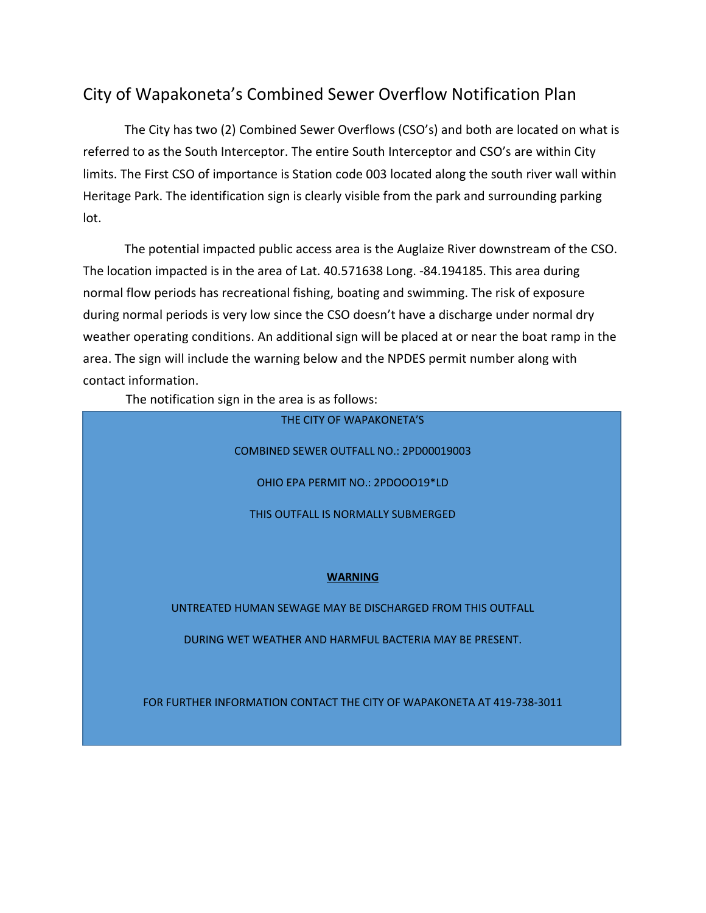## City of Wapakoneta's Combined Sewer Overflow Notification Plan

The City has two (2) Combined Sewer Overflows (CSO's) and both are located on what is referred to as the South Interceptor. The entire South Interceptor and CSO's are within City limits. The First CSO of importance is Station code 003 located along the south river wall within Heritage Park. The identification sign is clearly visible from the park and surrounding parking lot.

The potential impacted public access area is the Auglaize River downstream of the CSO. The location impacted is in the area of Lat. 40.571638 Long. -84.194185. This area during normal flow periods has recreational fishing, boating and swimming. The risk of exposure during normal periods is very low since the CSO doesn't have a discharge under normal dry weather operating conditions. An additional sign will be placed at or near the boat ramp in the area. The sign will include the warning below and the NPDES permit number along with contact information.

The notification sign in the area is as follows:

THE CITY OF WAPAKONETA'S

COMBINED SEWER OUTFALL NO.: 2PD00019003

OHIO EPA PERMIT NO.: 2PDOOO19\*LD

THIS OUTFALL IS NORMALLY SUBMERGED

## **WARNING**

UNTREATED HUMAN SEWAGE MAY BE DISCHARGED FROM THIS OUTFALL

DURING WET WEATHER AND HARMFUL BACTERIA MAY BE PRESENT.

FOR FURTHER INFORMATION CONTACT THE CITY OF WAPAKONETA AT 419-738-3011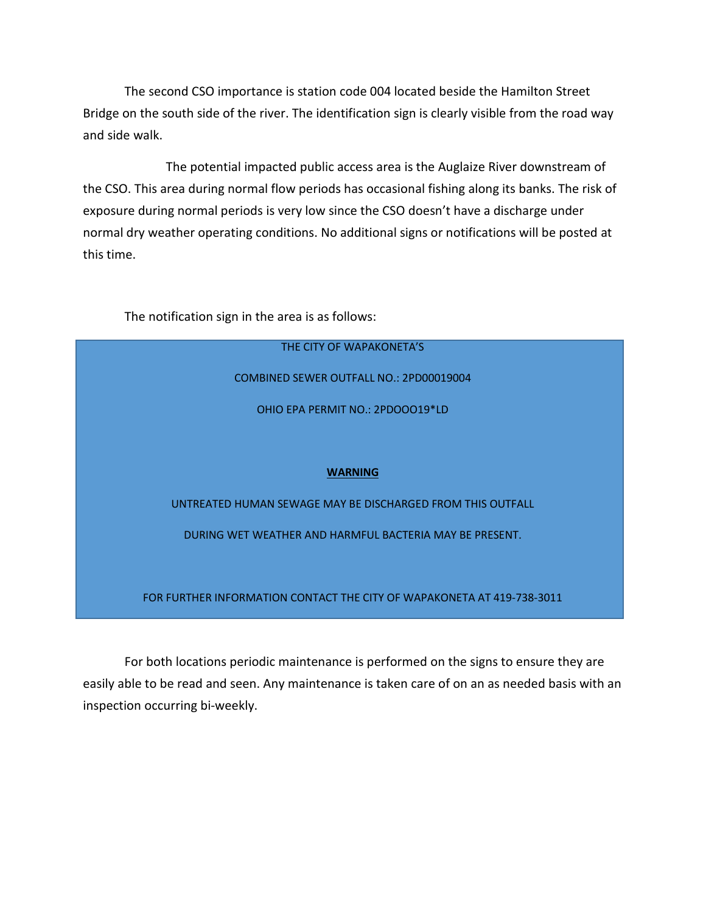The second CSO importance is station code 004 located beside the Hamilton Street Bridge on the south side of the river. The identification sign is clearly visible from the road way and side walk.

The potential impacted public access area is the Auglaize River downstream of the CSO. This area during normal flow periods has occasional fishing along its banks. The risk of exposure during normal periods is very low since the CSO doesn't have a discharge under normal dry weather operating conditions. No additional signs or notifications will be posted at this time.

The notification sign in the area is as follows:

## THE CITY OF WAPAKONETA'S COMBINED SEWER OUTFALL NO.: 2PD00019004 OHIO EPA PERMIT NO.: 2PDOOO19\*LD **WARNING**  UNTREATED HUMAN SEWAGE MAY BE DISCHARGED FROM THIS OUTFALL DURING WET WEATHER AND HARMFUL BACTERIA MAY BE PRESENT. FOR FURTHER INFORMATION CONTACT THE CITY OF WAPAKONETA AT 419-738-3011

For both locations periodic maintenance is performed on the signs to ensure they are easily able to be read and seen. Any maintenance is taken care of on an as needed basis with an inspection occurring bi-weekly.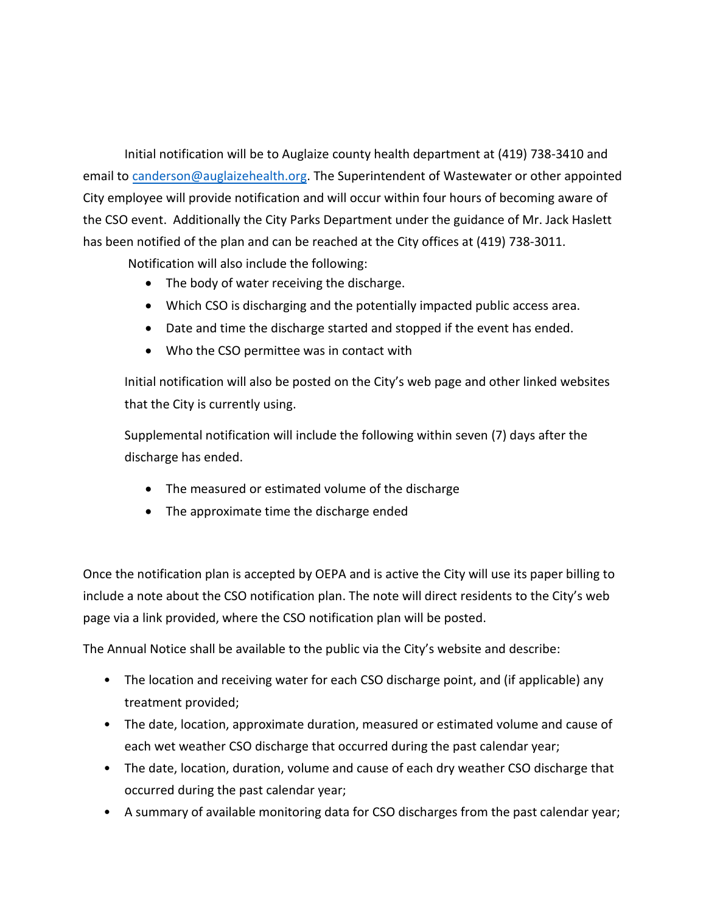Initial notification will be to Auglaize county health department at (419) 738-3410 and email to [canderson@auglaizehealth.org.](mailto:canderson@auglaizehealth.org) The Superintendent of Wastewater or other appointed City employee will provide notification and will occur within four hours of becoming aware of the CSO event. Additionally the City Parks Department under the guidance of Mr. Jack Haslett has been notified of the plan and can be reached at the City offices at (419) 738-3011.

Notification will also include the following:

- The body of water receiving the discharge.
- Which CSO is discharging and the potentially impacted public access area.
- Date and time the discharge started and stopped if the event has ended.
- Who the CSO permittee was in contact with

Initial notification will also be posted on the City's web page and other linked websites that the City is currently using.

Supplemental notification will include the following within seven (7) days after the discharge has ended.

- The measured or estimated volume of the discharge
- The approximate time the discharge ended

Once the notification plan is accepted by OEPA and is active the City will use its paper billing to include a note about the CSO notification plan. The note will direct residents to the City's web page via a link provided, where the CSO notification plan will be posted.

The Annual Notice shall be available to the public via the City's website and describe:

- The location and receiving water for each CSO discharge point, and (if applicable) any treatment provided;
- The date, location, approximate duration, measured or estimated volume and cause of each wet weather CSO discharge that occurred during the past calendar year;
- The date, location, duration, volume and cause of each dry weather CSO discharge that occurred during the past calendar year;
- A summary of available monitoring data for CSO discharges from the past calendar year;